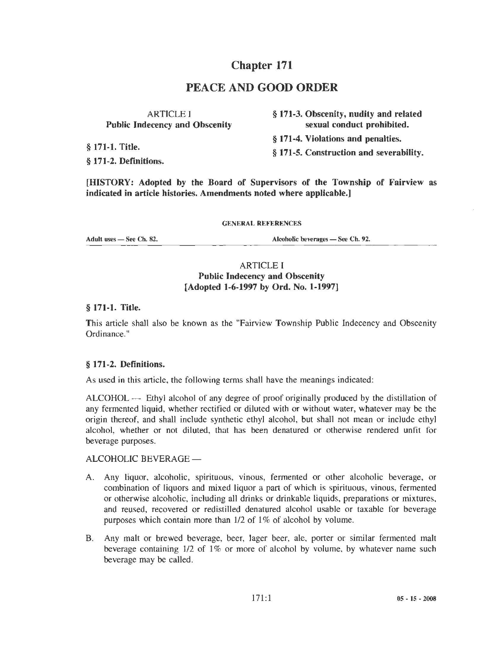# Chapter 171

## PEACE AND GOOD ORDER

| <b>ARTICLE I</b>                      | § 171-3. Obscenity, nudity and related  |
|---------------------------------------|-----------------------------------------|
| <b>Public Indecency and Obscenity</b> | sexual conduct prohibited.              |
| § 171-1. Title.                       | § 171-4. Violations and penalties.      |
|                                       | § 171-5. Construction and severability. |
| § 171-2. Definitions.                 |                                         |

[HISTORY: Adopted by the Board of Supervisors of the Township of Fairview as indicated in article histories. Amendments noted where applicable.]

#### GENERAi. REFERENCES

Adult uses - See Ch. 82.

Alcoholic beverages - See Ch. 92.

#### ARTICLE I Public Indecency and Obscenity [Adopted 1-6-1997 by Ord. No. 1-1997]

§ 171-1. Title.

This article shall also be known as the "Fairview Township Public Indecency and Obscenity Ordinance."

#### § 171-2. Definitions.

As used in this article, the following terms shall have the meanings indicated:

ALCOHOL — Ethyl alcohol of any degree of proof originally produced by the distillation of any fermented liquid, whether rectified or diluted with or without water, whatever may be the origin thereof, and shall include synthetic ethyl alcohol, but shall not mean or include ethyl alcohol, whether or not diluted, that has been denatured or otherwise rendered unfit for beverage purposes.

#### ALCOHOLIC BEVERAGE-

- A. Any liquor, alcoholic, spirituous, vinous, fermented or other alcoholic beverage, or combination of liquors and mixed liquor a part of which is spirituous, vinous, fermented or otherwise alcoholic, including all drinks or drinkable liquids, preparations or mixtures. and reused, recovered or redistilled denatured alcohol usable or taxable for beverage purposes which contain more than 1/2 of 1% of alcohol by volume.
- B. Any malt or brewed beverage, beer, lager beer, ale, porter or similar fermented malt beverage containing 1/2 of 1% or more of alcohol by volume, by whatever name such beverage may be called.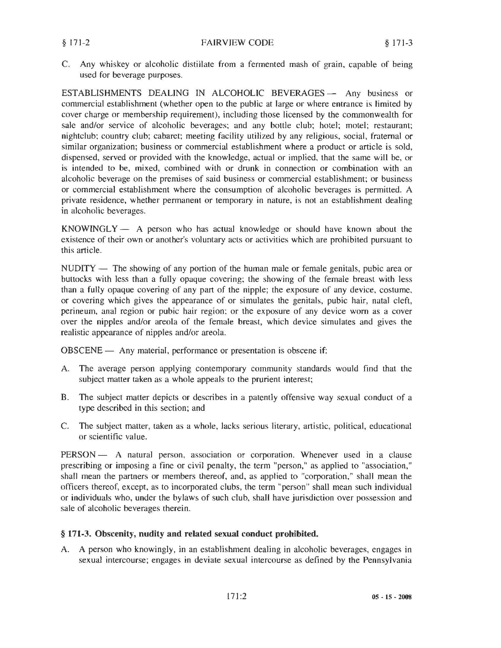C. Any whiskey or alcoholic distillate from a fermented mash of grain. capable of being used for beverage purposes.

ESTABLISHMENTS DEALING IN ALCOHOLIC BEVERAGES - Any business or commercial establishment (whether open to the public at large or where entrance is limited by cover charge or membership requirement), including those licensed by the commonwealth for sale and/or service of alcoholic beverages; and any bottle club; hotel; motel; restaurant; nightclub; country club; cabaret; meeting facility utilized by any religious, social, fraternal or similar organization; business or commercial establishment where a product or article is sold, dispensed, served or provided with the knowledge, actual or implied, that the same will be, or is intended to be, mixed, combined with or drunk in connection or combination with an alcoholic beverage on the premises of said business or commercial establishment; or business or commercial establishment where the consumption of alcoholic beverages is permitted. A private residence, whether permanent or temporary in nature, is not an establishment dealing in alcoholic beverages.

 $KNOWINGLY - A person who has actual knowledge or should have known about the$ existence of their own or another's voluntary acts or activities which are prohibited pursuant to this article.

NUDITY - The showing of any portion of the human male or female genitals, pubic area or buttocks with less than a fully opaque covering; the showing of the female breast with less than a fully opaque covering of any part of the nipple; the exposure of any device. costume, or covering which gives the appearance of or simulates the genitals, pubic hair, natal cleft, perineum, anal region or pubic hair region: or the exposure of any device worn as a cover over the nipples and/or areola of the female breast, which device simulates and gives the realistic appearance of nipples and/or areola.

OBSCENE - Any material, performance or presentation is obscene if:

- A. The average person applying contemporary community standards would find that the subject matter taken as a whole appeals to the prurient interest;
- B. The subject matter depicts or describes in a patently offensive way sexual conduct of a type described in this section; and
- C. The subject matter, taken as a whole, lacks serious literary, artistic, political, educational or scientific value.

PERSON - A natural person, association or corporation. Whenever used in a clause prescribing or imposing a fine or civil penalty, the term "person," as applied to "association," shall mean the partners or members thereof, and, as applied to "corporation," shall mean the officers thereof, except, as to incorporated clubs, the term "person" shall mean such individual or individuals who, under the bylaws of such club, shall have jurisdiction over possession and sale of alcoholic beverages therein.

#### § 171-3. Obscenity, nudity and related sexual conduct prohibited.

A. A person who knowingly, in an establishment dealing in alcoholic beverages, engages in sexual intercourse; engages in deviate sexual intercourse as defined by the Pennsylvania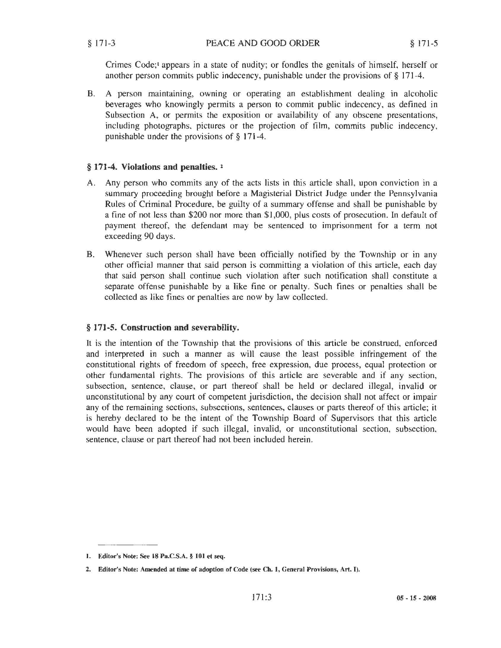Crimes Code;• appears in a state of nudity; or fondles the genitals of himself, herself or another person commits public indecency, punishable under the provisions of§ 171-4.

B. A person maintaining, owning or operating an establishment dealing in alcoholic beverages who knowingly permits a person to commit public indecency, as defined in Subsection A, or permits the exposition or availability of any obscene presentations, including photographs, pictures or the projection of film, commits public indecency, punishable under the provisions of § 171-4.

#### § **171-4. Violations and penalties.** <sup>1</sup>

- A. Any person who commits any of the acts lists in this article shall, upon conviction in a summary proceeding brought before a Magisterial District Judge under the Pennsylvania Rules of Criminal Procedure, be guilty of a summary offense and shall be punishable by a fine of not less than \$200 nor more than \$1,000, plus costs of prosecution. In default of payment thereof, the defendant may be sentenced to imprisonment for a term not exceeding 90 days.
- B. Whenever such person shall have been officially notified by the Township or in any other official manner that said person is committing a violation of this article, each day that said person shall continue such violation after such notification shall constitute a separate offense punishable by a like fine or penalty. Such fines or penalties shall be collected as like fines or penalties are now by law collected.

### § **171-5. Construction and severability.**

It is the intention of the Township that the provisions of this article be construed, enforced and interpreted in such a manner as will cause the least possible infringement of the constitutional rights of freedom of speech, free expression, due process, equal protection or other fundamental rights. The provisions of this article are severable and if any section, subsection, sentence, clause, or part thereof shall be held or declared illegal, invalid or unconstitutional by any court of competent jurisdiction, the decision shall not affect or impair any of the remaining sections, subsections, sentences, clauses or parts thereof of this article; it is hereby declared to be the intent of the Township Board of Supervisors that this article would have been adopted if such illegal, invalid, or unconstitutional section, subsection, sentence, clause or part thereof had not been included herein.

<sup>1.</sup> Editor's Note: See 18 Pa.C.S.A. § 101 et seq.

<sup>2.</sup> Editor's Note: Amended at time of adoption of Code (see Ch. 1, General Provisions, Art. I).